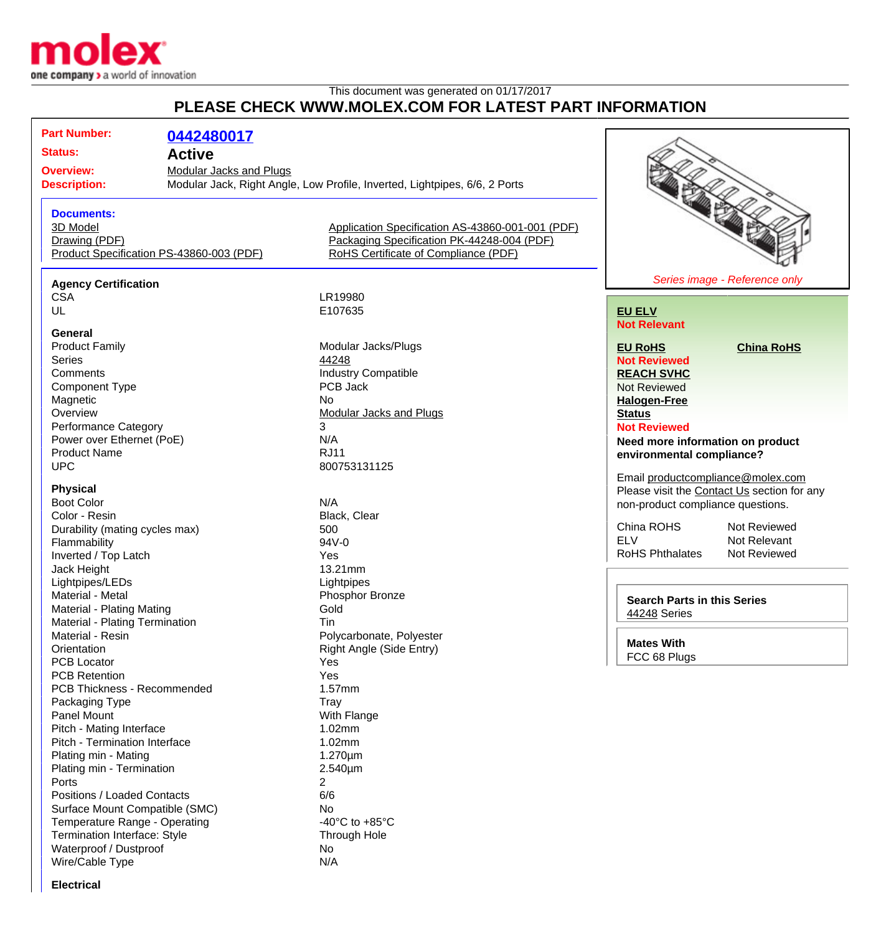

## This document was generated on 01/17/2017 **PLEASE CHECK WWW.MOLEX.COM FOR LATEST PART INFORMATION**

**Part Number: [0442480017](http://www.molex.com/molex/products/datasheet.jsp?part=active/0442480017_MODULAR_JACKS_PLUG.xml&channel=Products&Lang=en-US) Status: Active Overview:** [Modular Jacks and Plugs](http://www.molex.com/molex/products/group?channel=products&key=modular_plugs_jacks) **Description:** Modular Jack, Right Angle, Low Profile, Inverted, Lightpipes, 6/6, 2 Ports **Documents:** [3D Model](http://www.molex.com/molex/part/partModels.jsp?&prodLevel=part&series=&partNo=442480017&channel=Products) [Application Specification AS-43860-001-001 \(PDF\)](http://www.molex.com/pdm_docs/as/AS-43860-001-001.pdf) [Drawing \(PDF\)](http://www.molex.com/pdm_docs/sd/442480017_sd.pdf) [Packaging Specification PK-44248-004 \(PDF\)](http://www.molex.com/pdm_docs/pk/PK-44248-004.pdf) [Product Specification PS-43860-003 \(PDF\)](http://www.molex.com/pdm_docs/ps/PS-43860-003.pdf) [RoHS Certificate of Compliance \(PDF\)](http://www.molex.com/datasheets/rohspdf/0442480017_rohs.pdf) **Agency Certification** CSA LR19980<br>UL E107635 E107635 **General**<br>**Product Family** Product Family **Modular Jacks/Plugs**<br>
Series 44248 Series **According to According the Series [44248](http://www.molex.com/molex/products/listview.jsp?query=44248&sType=s)** Comments<br>
Component Type<br>
Component Type<br>
COMPOS Jack<br>
PCB Jack Component Type Magnetic No.<br>
Overview Mo [Modular Jacks and Plugs](http://www.molex.com/molex/products/group?channel=products&key=modular_plugs_jacks) Performance Category 3 Power over Ethernet (PoE) N/A Product Name RJ11 UPC 800753131125 **Physical** Boot Color Note that the Second Second Second Second Second Second Second Second Second Second Second Second Second Second Second Second Second Second Second Second Second Second Second Second Second Second Second Second S Color - Resin Durability (mating cycles max) 500 Flammability 94V-0 Inverted / Top Latch Yes Jack Height 13.21mm Lightpipes/LEDs Lightpipes Material - Metal **Material - Metal** Phosphor Bronze Material - Plating Mating **Gold** Material - Plating Termination Tin Material - Resin **Polycarbonate, Polyester** Polycarbonate, Polyester Orientation **Right Angle (Side Entry)** PCB Locator **Yes** PCB Retention Yes PCB Thickness - Recommended 1.57mm Packaging Type Tray Tray<br>
Panel Mount Tray Nuth Flange Panel Mount Pitch - Mating Interface 1.02mm Pitch - Termination Interface 1.02mm Plating min - Mating 1.270um Plating min - Termination 2.540um Ports 2 Positions / Loaded Contacts 6/6 Surface Mount Compatible (SMC) No Temperature Range - Operating  $-40^{\circ}$ C to +85°C



## **[EU ELV](http://www.molex.com/molex/common/staticLoader.jsp?fileName=/webcontent/literature/EU_RoHS.html#eurohs) Not Relevant**

**[EU RoHS](http://www.molex.com/molex/common/staticLoader.jsp?fileName=/cmc_upload/0/000/-12/201/EU_RoHS.html#eurohs) [China RoHS](http://www.molex.com/molex/common/staticLoader.jsp?fileName=/cmc_upload/0/000/-12/201/china_RoHS.html#china)**

**Not Reviewed [REACH SVHC](http://www.molex.com/molex/common/staticLoader.jsp?fileName=/webcontent/contact/reach.html)** Not Reviewed **[Halogen-Free](http://www.molex.com/molex/common/staticLoader.jsp?fileName=/webcontent/contact/halogen_free.html) [Status](http://www.molex.com/molex/common/staticLoader.jsp?fileName=/webcontent/contact/halogen_free.html)**

**Not Reviewed**

**Need more information on product environmental compliance?**

Email [productcompliance@molex.com](mailto:productcompliance@molex.com) Please visit the [Contact Us](http://www.molex.com/molex/contact/mxcontact.jsp?channel=Contact Us&channelId=-7) section for any non-product compliance questions.

China ROHS Not Reviewed<br>FLV Not Relevant RoHS Phthalates

Not Relevant<br>Not Reviewed

**Search Parts in this Series** [44248](http://www.molex.com/molex/products/listview.jsp?query=44248&sType=s) Series

**Mates With** FCC 68 Plugs

**Electrical**

Termination Interface: Style Through Hole

Waterproof / Dustproof 1 No Wire/Cable Type N/A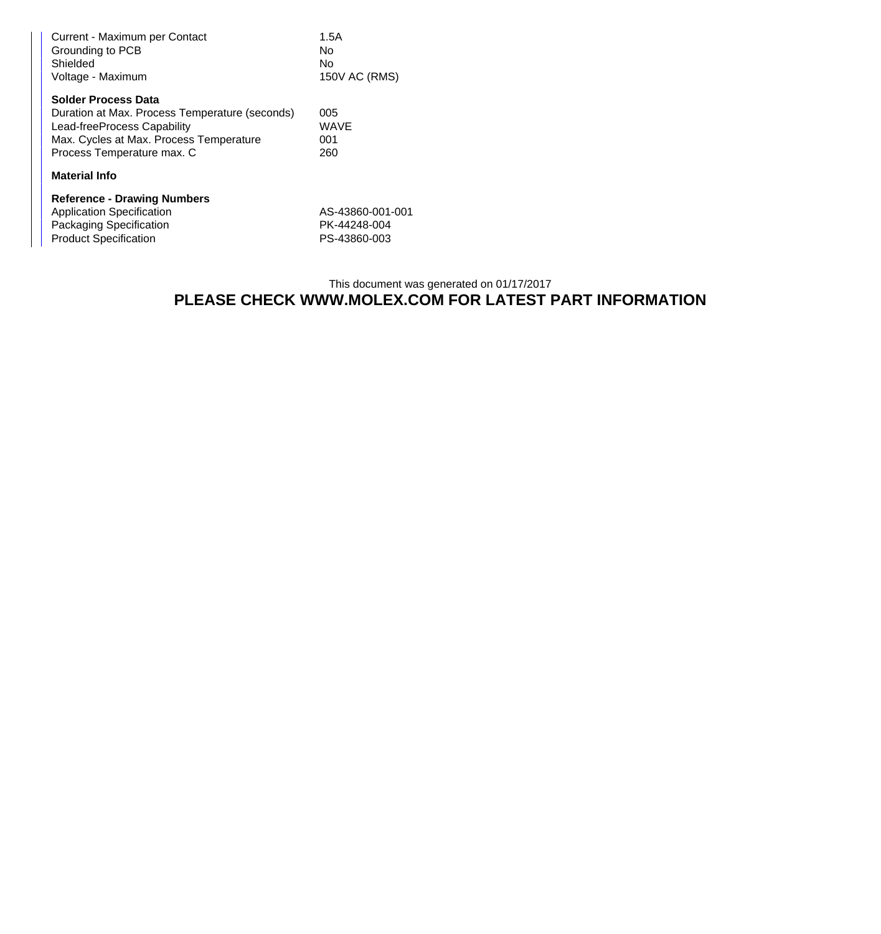| Current - Maximum per Contact<br>Grounding to PCB<br>Shielded<br>Voltage - Maximum | 1.5A<br>No<br>No<br>150V AC (RMS) |
|------------------------------------------------------------------------------------|-----------------------------------|
| <b>Solder Process Data</b>                                                         |                                   |
| Duration at Max. Process Temperature (seconds)                                     | 005                               |
| Lead-freeProcess Capability                                                        | <b>WAVE</b>                       |
| Max. Cycles at Max. Process Temperature                                            | 001                               |
| Process Temperature max. C                                                         | 260                               |
| <b>Material Info</b>                                                               |                                   |
| <b>Reference - Drawing Numbers</b>                                                 |                                   |
| <b>Application Specification</b>                                                   | AS-43860-001-001                  |
| Packaging Specification                                                            | PK-44248-004                      |
| <b>Product Specification</b>                                                       | PS-43860-003                      |

## This document was generated on 01/17/2017 **PLEASE CHECK WWW.MOLEX.COM FOR LATEST PART INFORMATION**